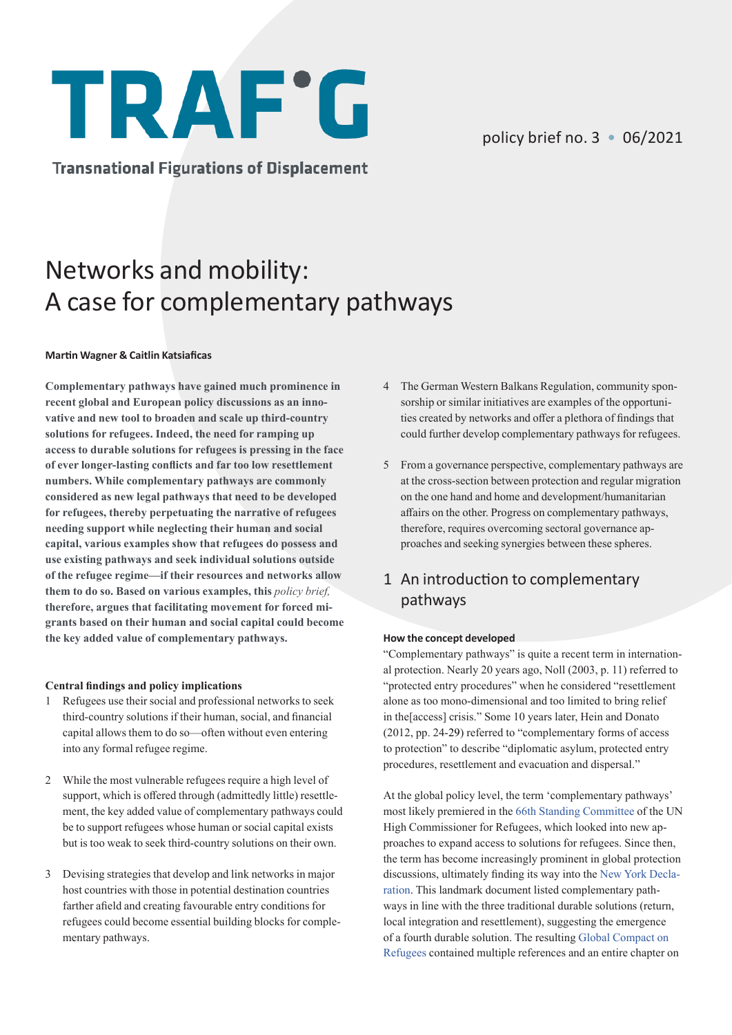# **TRAF'G**

**Transnational Figurations of Displacement** 

# Networks and mobility: A case for complementary pathways

#### **Martin Wagner & Caitlin Katsiaficas**

**Complementary pathways have gained much prominence in recent global and European policy discussions as an innovative and new tool to broaden and scale up third-country solutions for refugees. Indeed, the need for ramping up access to durable solutions for refugees is pressing in the face of ever longer-lasting conflicts and far too low resettlement numbers. While complementary pathways are commonly considered as new legal pathways that need to be developed for refugees, thereby perpetuating the narrative of refugees needing support while neglecting their human and social capital, various examples show that refugees do possess and use existing pathways and seek individual solutions outside of the refugee regime—if their resources and networks allow them to do so. Based on various examples, this** *policy brief,* **therefore, argues that facilitating movement for forced migrants based on their human and social capital could become the key added value of complementary pathways.**

#### **Central findings and policy implications**

- 1 Refugees use their social and professional networks to seek third-country solutions if their human, social, and financial capital allows them to do so—often without even entering into any formal refugee regime.
- 2 While the most vulnerable refugees require a high level of support, which is offered through (admittedly little) resettlement, the key added value of complementary pathways could be to support refugees whose human or social capital exists but is too weak to seek third-country solutions on their own.
- 3 Devising strategies that develop and link networks in major host countries with those in potential destination countries farther afield and creating favourable entry conditions for refugees could become essential building blocks for complementary pathways.
- 4 The German Western Balkans Regulation, community sponsorship or similar initiatives are examples of the opportunities created by networks and offer a plethora of findings that could further develop complementary pathways for refugees.
- 5 From a governance perspective, complementary pathways are at the cross-section between protection and regular migration on the one hand and home and development/humanitarian affairs on the other. Progress on complementary pathways, therefore, requires overcoming sectoral governance approaches and seeking synergies between these spheres.

# 1 An introduction to complementary pathways

#### **How the concept developed**

"Complementary pathways" is quite a recent term in international protection. Nearly 20 years ago, Noll (2003, p. 11) referred to "protected entry procedures" when he considered "resettlement alone as too mono-dimensional and too limited to bring relief in the[access] crisis." Some 10 years later, Hein and Donato (2012, pp. 24-29) referred to "complementary forms of access to protection" to describe "diplomatic asylum, protected entry procedures, resettlement and evacuation and dispersal."

At the global policy level, the term 'complementary pathways' most likely premiered in the [66th Standing Committee](https://www.unhcr.org/575a74597.pdf) of the UN High Commissioner for Refugees, which looked into new approaches to expand access to solutions for refugees. Since then, the term has become increasingly prominent in global protection discussions, ultimately finding its way into the [New York Decla](https://www.unhcr.org/57e39d987)[ration.](https://www.unhcr.org/57e39d987) This landmark document listed complementary pathways in line with the three traditional durable solutions (return, local integration and resettlement), suggesting the emergence of a fourth durable solution. The resultin[g Global Compact on](https://www.unhcr.org/gcr/GCR_English.pdf)  [Refugees](https://www.unhcr.org/gcr/GCR_English.pdf) contained multiple references and an entire chapter on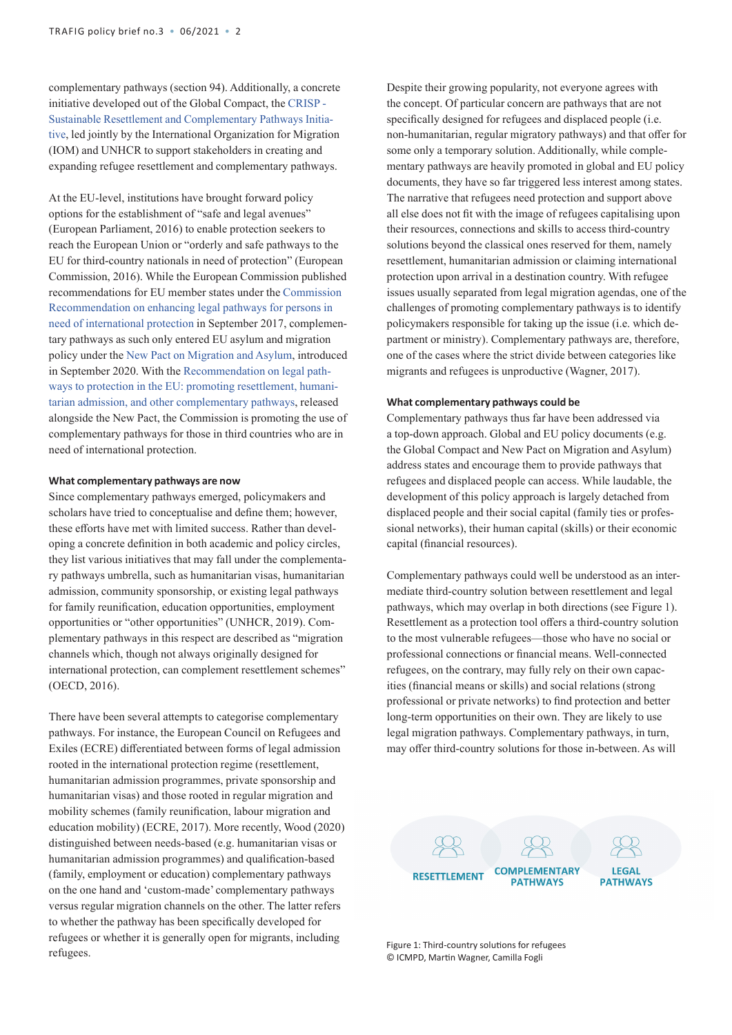complementary pathways (section 94). Additionally, a concrete initiative developed out of the Global Compact, the [CRISP -](https://resettle.org/)  [Sustainable Resettlement and Complementary Pathways Initia](https://resettle.org/)[tive](https://resettle.org/), led jointly by the International Organization for Migration (IOM) and UNHCR to support stakeholders in creating and expanding refugee resettlement and complementary pathways.

At the EU-level, institutions have brought forward policy options for the establishment of "safe and legal avenues" (European Parliament, 2016) to enable protection seekers to reach the European Union or "orderly and safe pathways to the EU for third-country nationals in need of protection" (European Commission, 2016). While the European Commission published recommendations for EU member states under the [Commission](https://ec.europa.eu/home-affairs/sites/default/files/what-we-do/policies/european-agenda-migration/20170927_recommendation_on_enhancing_legal_pathways_for_persons_in_need_of_international_protection_en.pdf)  [Recommendation on enhancing legal pathways for persons in](https://ec.europa.eu/home-affairs/sites/default/files/what-we-do/policies/european-agenda-migration/20170927_recommendation_on_enhancing_legal_pathways_for_persons_in_need_of_international_protection_en.pdf)  [need of international protection](https://ec.europa.eu/home-affairs/sites/default/files/what-we-do/policies/european-agenda-migration/20170927_recommendation_on_enhancing_legal_pathways_for_persons_in_need_of_international_protection_en.pdf) in September 2017, complementary pathways as such only entered EU asylum and migration policy under the [New Pact on Migration and Asylum](https://eur-lex.europa.eu/legal-content/EN/TXT/?qid=1601287338054&uri=COM%3A2020%3A609%3AFIN), introduced in September 2020. With the [Recommendation on legal path](https://ec.europa.eu/info/sites/default/files/commission_recommendation_on_legal_pathways_to_protection_in_the_eu_promoting_resettlement_humanitarian_admission_and_other_complementary_pathways.pdf)[ways to protection in the EU: promoting resettlement, humani](https://ec.europa.eu/info/sites/default/files/commission_recommendation_on_legal_pathways_to_protection_in_the_eu_promoting_resettlement_humanitarian_admission_and_other_complementary_pathways.pdf)[tarian admission, and other complementary pathways,](https://ec.europa.eu/info/sites/default/files/commission_recommendation_on_legal_pathways_to_protection_in_the_eu_promoting_resettlement_humanitarian_admission_and_other_complementary_pathways.pdf) released alongside the New Pact, the Commission is promoting the use of complementary pathways for those in third countries who are in need of international protection.

#### **What complementary pathways are now**

Since complementary pathways emerged, policymakers and scholars have tried to conceptualise and define them; however, these efforts have met with limited success. Rather than developing a concrete definition in both academic and policy circles, they list various initiatives that may fall under the complementary pathways umbrella, such as humanitarian visas, humanitarian admission, community sponsorship, or existing legal pathways for family reunification, education opportunities, employment opportunities or "other opportunities" (UNHCR, 2019). Complementary pathways in this respect are described as "migration channels which, though not always originally designed for international protection, can complement resettlement schemes" (OECD, 2016).

There have been several attempts to categorise complementary pathways. For instance, the European Council on Refugees and Exiles (ECRE) differentiated between forms of legal admission rooted in the international protection regime (resettlement, humanitarian admission programmes, private sponsorship and humanitarian visas) and those rooted in regular migration and mobility schemes (family reunification, labour migration and education mobility) (ECRE, 2017). More recently, Wood (2020) distinguished between needs-based (e.g. humanitarian visas or humanitarian admission programmes) and qualification-based (family, employment or education) complementary pathways on the one hand and 'custom-made' complementary pathways versus regular migration channels on the other. The latter refers to whether the pathway has been specifically developed for refugees or whether it is generally open for migrants, including refugees.

Despite their growing popularity, not everyone agrees with the concept. Of particular concern are pathways that are not specifically designed for refugees and displaced people (i.e. non-humanitarian, regular migratory pathways) and that offer for some only a temporary solution. Additionally, while complementary pathways are heavily promoted in global and EU policy documents, they have so far triggered less interest among states. The narrative that refugees need protection and support above all else does not fit with the image of refugees capitalising upon their resources, connections and skills to access third-country solutions beyond the classical ones reserved for them, namely resettlement, humanitarian admission or claiming international protection upon arrival in a destination country. With refugee issues usually separated from legal migration agendas, one of the challenges of promoting complementary pathways is to identify policymakers responsible for taking up the issue (i.e. which department or ministry). Complementary pathways are, therefore, one of the cases where the strict divide between categories like migrants and refugees is unproductive (Wagner, 2017).

#### **What complementary pathways could be**

Complementary pathways thus far have been addressed via a top-down approach. Global and EU policy documents (e.g. the Global Compact and New Pact on Migration and Asylum) address states and encourage them to provide pathways that refugees and displaced people can access. While laudable, the development of this policy approach is largely detached from displaced people and their social capital (family ties or professional networks), their human capital (skills) or their economic capital (financial resources).

Complementary pathways could well be understood as an intermediate third-country solution between resettlement and legal pathways, which may overlap in both directions (see Figure 1). Resettlement as a protection tool offers a third-country solution to the most vulnerable refugees—those who have no social or professional connections or financial means. Well-connected refugees, on the contrary, may fully rely on their own capacities (financial means or skills) and social relations (strong professional or private networks) to find protection and better long-term opportunities on their own. They are likely to use legal migration pathways. Complementary pathways, in turn, may offer third-country solutions for those in-between. As will



Figure 1: Third-country solutions for refugees © ICMPD, Martin Wagner, Camilla Fogli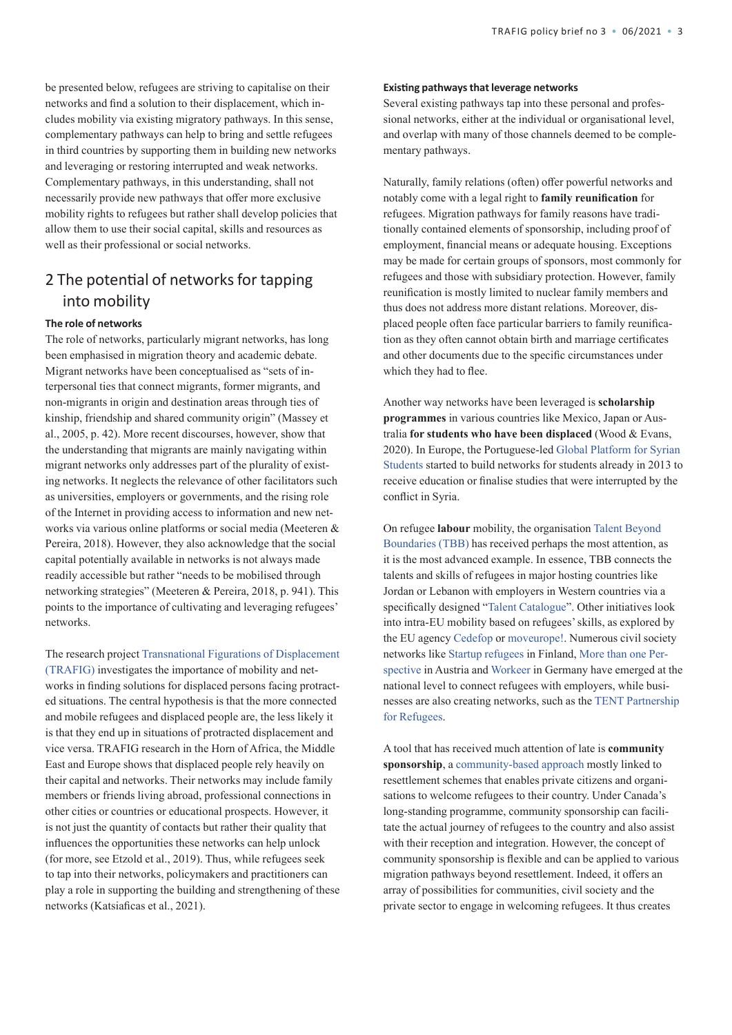be presented below, refugees are striving to capitalise on their networks and find a solution to their displacement, which includes mobility via existing migratory pathways. In this sense, complementary pathways can help to bring and settle refugees in third countries by supporting them in building new networks and leveraging or restoring interrupted and weak networks. Complementary pathways, in this understanding, shall not necessarily provide new pathways that offer more exclusive mobility rights to refugees but rather shall develop policies that allow them to use their social capital, skills and resources as well as their professional or social networks.

### 2 The potential of networks for tapping into mobility

#### **The role of networks**

The role of networks, particularly migrant networks, has long been emphasised in migration theory and academic debate. Migrant networks have been conceptualised as "sets of interpersonal ties that connect migrants, former migrants, and non-migrants in origin and destination areas through ties of kinship, friendship and shared community origin" (Massey et al., 2005, p. 42). More recent discourses, however, show that the understanding that migrants are mainly navigating within migrant networks only addresses part of the plurality of existing networks. It neglects the relevance of other facilitators such as universities, employers or governments, and the rising role of the Internet in providing access to information and new networks via various online platforms or social media (Meeteren & Pereira, 2018). However, they also acknowledge that the social capital potentially available in networks is not always made readily accessible but rather "needs to be mobilised through networking strategies" (Meeteren & Pereira, 2018, p. 941). This points to the importance of cultivating and leveraging refugees' networks.

The research project [Transnational Figurations of Displacement](https://trafig.eu/) [\(TRAFIG\)](https://trafig.eu/) investigates the importance of mobility and networks in finding solutions for displaced persons facing protracted situations. The central hypothesis is that the more connected and mobile refugees and displaced people are, the less likely it is that they end up in situations of protracted displacement and vice versa. TRAFIG research in the Horn of Africa, the Middle East and Europe shows that displaced people rely heavily on their capital and networks. Their networks may include family members or friends living abroad, professional connections in other cities or countries or educational prospects. However, it is not just the quantity of contacts but rather their quality that influences the opportunities these networks can help unlock (for more, see Etzold et al., 2019). Thus, while refugees seek to tap into their networks, policymakers and practitioners can play a role in supporting the building and strengthening of these networks (Katsiaficas et al., 2021).

#### **Existing pathways that leverage networks**

Several existing pathways tap into these personal and professional networks, either at the individual or organisational level, and overlap with many of those channels deemed to be complementary pathways.

Naturally, family relations (often) offer powerful networks and notably come with a legal right to **family reunification** for refugees. Migration pathways for family reasons have traditionally contained elements of sponsorship, including proof of employment, financial means or adequate housing. Exceptions may be made for certain groups of sponsors, most commonly for refugees and those with subsidiary protection. However, family reunification is mostly limited to nuclear family members and thus does not address more distant relations. Moreover, displaced people often face particular barriers to family reunification as they often cannot obtain birth and marriage certificates and other documents due to the specific circumstances under which they had to flee.

Another way networks have been leveraged is **scholarship programmes** in various countries like Mexico, Japan or Australia **for students who have been displaced** (Wood & Evans, 2020). In Europe, the Portuguese-led [Global Platform for Syrian](http://globalplatformforsyrianstudents.org/index.php/the-network)  [Students](http://globalplatformforsyrianstudents.org/index.php/the-network) started to build networks for students already in 2013 to receive education or finalise studies that were interrupted by the conflict in Syria.

On refugee **labour** mobility, the organisation [Talent Beyond](https://www.talentbeyondboundaries.org/)  [Boundaries \(TBB\)](https://www.talentbeyondboundaries.org/) has received perhaps the most attention, as it is the most advanced example. In essence, TBB connects the talents and skills of refugees in major hosting countries like Jordan or Lebanon with employers in Western countries via a specifically designed "[Talent Catalogue"](https://www.talentbeyondboundaries.org/the-talent-catalog). Other initiatives look into intra-EU mobility based on refugees' skills, as explored by the EU agency [Cedefop](https://www.cedefop.europa.eu/en/events-and-projects/projects/adult-refugee-legal-mobility) or [moveurope!](https://migrationmiteinander.de/en/homepage/). Numerous civil society networks like [Startup refugees](https://startuprefugees.com) in Finland, More than one [Per](https://mtop.at/en/)[spective](https://mtop.at/en/) in Austria and [Workeer](https://workeer.de/) in Germany have emerged at the national level to connect refugees with employers, while businesses are also creating networks, such as the [TENT Partnership](https://www.tent.org/)  [for Refugees](https://www.tent.org/).

A tool that has received much attention of late is **community sponsorship**, a [community-based approach](https://refugeesponsorship.org/community-sponsorship) mostly linked to resettlement schemes that enables private citizens and organisations to welcome refugees to their country. Under Canada's long-standing programme, community sponsorship can facilitate the actual journey of refugees to the country and also assist with their reception and integration. However, the concept of community sponsorship is flexible and can be applied to various migration pathways beyond resettlement. Indeed, it offers an array of possibilities for communities, civil society and the private sector to engage in welcoming refugees. It thus creates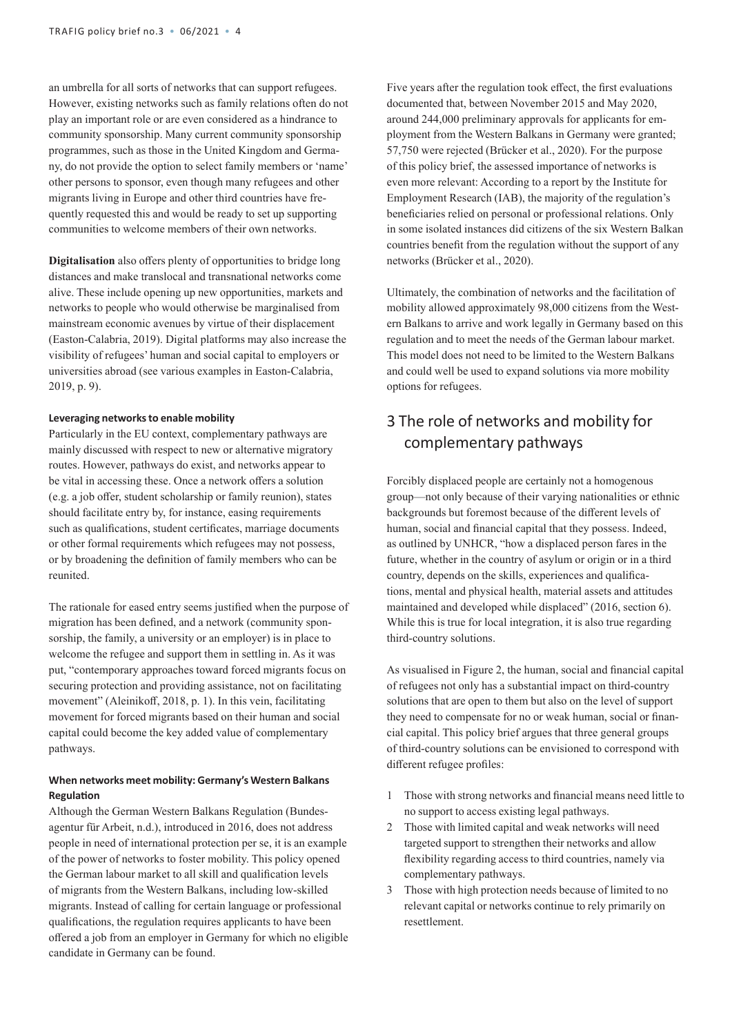an umbrella for all sorts of networks that can support refugees. However, existing networks such as family relations often do not play an important role or are even considered as a hindrance to community sponsorship. Many current community sponsorship programmes, such as those in the United Kingdom and Germany, do not provide the option to select family members or 'name' other persons to sponsor, even though many refugees and other migrants living in Europe and other third countries have frequently requested this and would be ready to set up supporting communities to welcome members of their own networks.

**Digitalisation** also offers plenty of opportunities to bridge long distances and make translocal and transnational networks come alive. These include opening up new opportunities, markets and networks to people who would otherwise be marginalised from mainstream economic avenues by virtue of their displacement (Easton-Calabria, 2019). Digital platforms may also increase the visibility of refugees' human and social capital to employers or universities abroad (see various examples in Easton-Calabria, 2019, p. 9).

#### **Leveraging networks to enable mobility**

Particularly in the EU context, complementary pathways are mainly discussed with respect to new or alternative migratory routes. However, pathways do exist, and networks appear to be vital in accessing these. Once a network offers a solution (e.g. a job offer, student scholarship or family reunion), states should facilitate entry by, for instance, easing requirements such as qualifications, student certificates, marriage documents or other formal requirements which refugees may not possess, or by broadening the definition of family members who can be reunited.

The rationale for eased entry seems justified when the purpose of migration has been defined, and a network (community sponsorship, the family, a university or an employer) is in place to welcome the refugee and support them in settling in. As it was put, "contemporary approaches toward forced migrants focus on securing protection and providing assistance, not on facilitating movement" (Aleinikoff, 2018, p. 1). In this vein, facilitating movement for forced migrants based on their human and social capital could become the key added value of complementary pathways.

#### **When networks meet mobility: Germany's Western Balkans Regulation**

Although the German Western Balkans Regulation (Bundesagentur für Arbeit, n.d.), introduced in 2016, does not address people in need of international protection per se, it is an example of the power of networks to foster mobility. This policy opened the German labour market to all skill and qualification levels of migrants from the Western Balkans, including low-skilled migrants. Instead of calling for certain language or professional qualifications, the regulation requires applicants to have been offered a job from an employer in Germany for which no eligible candidate in Germany can be found.

Five years after the regulation took effect, the first evaluations documented that, between November 2015 and May 2020, around 244,000 preliminary approvals for applicants for employment from the Western Balkans in Germany were granted; 57,750 were rejected (Brücker et al., 2020). For the purpose of this policy brief, the assessed importance of networks is even more relevant: According to a report by the Institute for Employment Research (IAB), the majority of the regulation's beneficiaries relied on personal or professional relations. Only in some isolated instances did citizens of the six Western Balkan countries benefit from the regulation without the support of any networks (Brücker et al., 2020).

Ultimately, the combination of networks and the facilitation of mobility allowed approximately 98,000 citizens from the Western Balkans to arrive and work legally in Germany based on this regulation and to meet the needs of the German labour market. This model does not need to be limited to the Western Balkans and could well be used to expand solutions via more mobility options for refugees.

# 3 The role of networks and mobility for complementary pathways

Forcibly displaced people are certainly not a homogenous group—not only because of their varying nationalities or ethnic backgrounds but foremost because of the different levels of human, social and financial capital that they possess. Indeed, as outlined by UNHCR, "how a displaced person fares in the future, whether in the country of asylum or origin or in a third country, depends on the skills, experiences and qualifications, mental and physical health, material assets and attitudes maintained and developed while displaced" (2016, section 6). While this is true for local integration, it is also true regarding third-country solutions.

As visualised in Figure 2, the human, social and financial capital of refugees not only has a substantial impact on third-country solutions that are open to them but also on the level of support they need to compensate for no or weak human, social or financial capital. This policy brief argues that three general groups of third-country solutions can be envisioned to correspond with different refugee profiles:

- 1 Those with strong networks and financial means need little to no support to access existing legal pathways.
- 2 Those with limited capital and weak networks will need targeted support to strengthen their networks and allow flexibility regarding access to third countries, namely via complementary pathways.
- 3 Those with high protection needs because of limited to no relevant capital or networks continue to rely primarily on resettlement.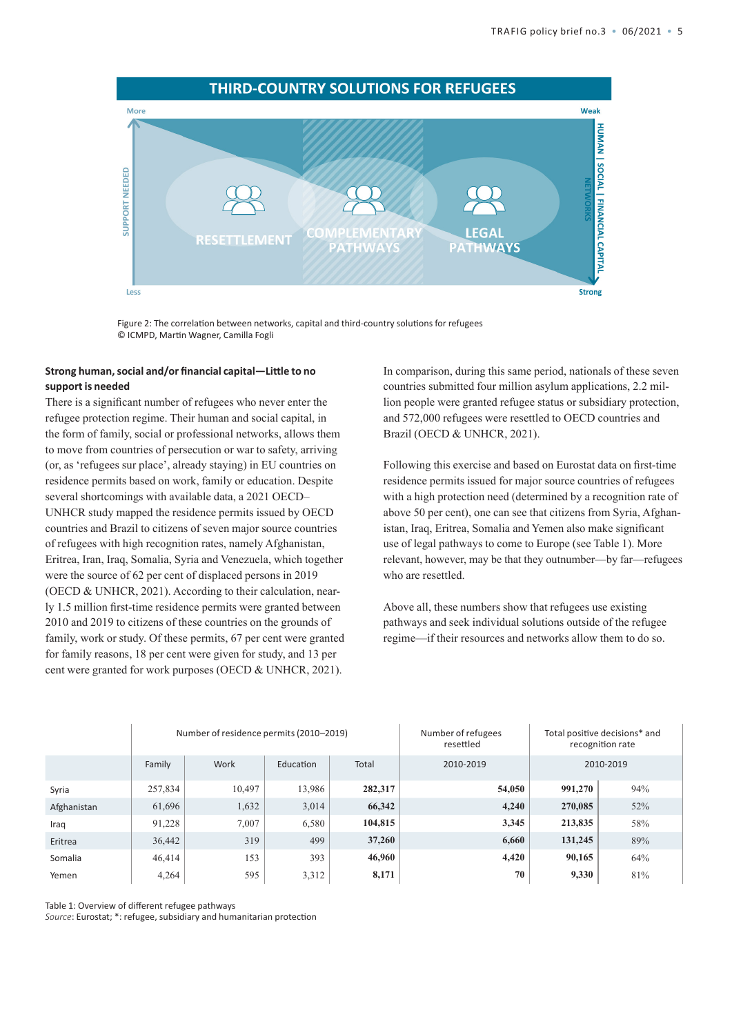

Figure 2: The correlation between networks, capital and third-country solutions for refugees © ICMPD, Martin Wagner, Camilla Fogli

#### **Strong human, social and/or financial capital—Little to no support is needed**

There is a significant number of refugees who never enter the refugee protection regime. Their human and social capital, in the form of family, social or professional networks, allows them to move from countries of persecution or war to safety, arriving (or, as 'refugees sur place', already staying) in EU countries on residence permits based on work, family or education. Despite several shortcomings with available data, a 2021 OECD– UNHCR study mapped the residence permits issued by OECD countries and Brazil to citizens of seven major source countries of refugees with high recognition rates, namely Afghanistan, Eritrea, Iran, Iraq, Somalia, Syria and Venezuela, which together were the source of 62 per cent of displaced persons in 2019 (OECD & UNHCR, 2021). According to their calculation, nearly 1.5 million first-time residence permits were granted between 2010 and 2019 to citizens of these countries on the grounds of family, work or study. Of these permits, 67 per cent were granted for family reasons, 18 per cent were given for study, and 13 per cent were granted for work purposes (OECD & UNHCR, 2021).

In comparison, during this same period, nationals of these seven countries submitted four million asylum applications, 2.2 million people were granted refugee status or subsidiary protection, and 572,000 refugees were resettled to OECD countries and Brazil (OECD & UNHCR, 2021).

Following this exercise and based on Eurostat data on first-time residence permits issued for major source countries of refugees with a high protection need (determined by a recognition rate of above 50 per cent), one can see that citizens from Syria, Afghanistan, Iraq, Eritrea, Somalia and Yemen also make significant use of legal pathways to come to Europe (see Table 1). More relevant, however, may be that they outnumber—by far—refugees who are resettled.

Above all, these numbers show that refugees use existing pathways and seek individual solutions outside of the refugee regime—if their resources and networks allow them to do so.

|             | Number of residence permits (2010-2019) |        |           |         | Number of refugees<br>resettled | Total positive decisions* and<br>recognition rate |     |
|-------------|-----------------------------------------|--------|-----------|---------|---------------------------------|---------------------------------------------------|-----|
|             | Family                                  | Work   | Education | Total   | 2010-2019                       | 2010-2019                                         |     |
| Syria       | 257,834                                 | 10.497 | 13,986    | 282,317 | 54,050                          | 991,270                                           | 94% |
| Afghanistan | 61,696                                  | 1,632  | 3,014     | 66,342  | 4,240                           | 270,085                                           | 52% |
| Iraq        | 91,228                                  | 7.007  | 6,580     | 104,815 | 3,345                           | 213,835                                           | 58% |
| Eritrea     | 36,442                                  | 319    | 499       | 37,260  | 6,660                           | 131,245                                           | 89% |
| Somalia     | 46,414                                  | 153    | 393       | 46,960  | 4,420                           | 90,165                                            | 64% |
| Yemen       | 4,264                                   | 595    | 3,312     | 8,171   | 70                              | 9,330                                             | 81% |

Table 1: Overview of different refugee pathways

*Source*: Eurostat; \*: refugee, subsidiary and humanitarian protection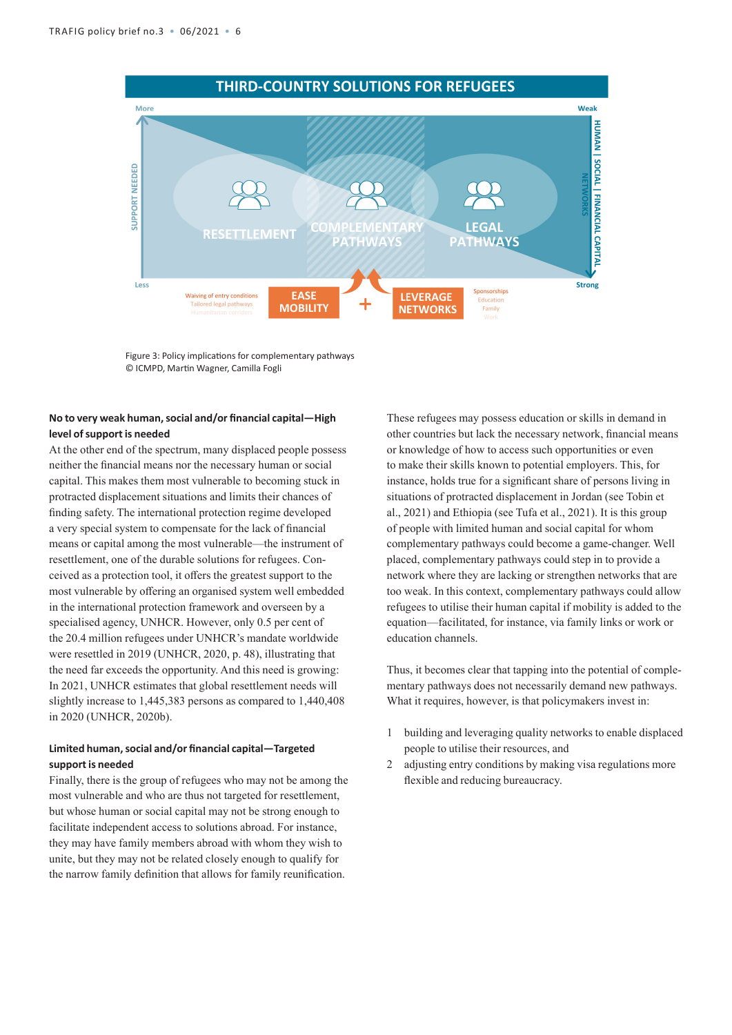

Figure 3: Policy implications for complementary pathways © ICMPD, Martin Wagner, Camilla Fogli

#### **No to very weak human, social and/or financial capital—High level of support is needed**

At the other end of the spectrum, many displaced people possess neither the financial means nor the necessary human or social capital. This makes them most vulnerable to becoming stuck in protracted displacement situations and limits their chances of finding safety. The international protection regime developed a very special system to compensate for the lack of financial means or capital among the most vulnerable—the instrument of resettlement, one of the durable solutions for refugees. Conceived as a protection tool, it offers the greatest support to the most vulnerable by offering an organised system well embedded in the international protection framework and overseen by a specialised agency, UNHCR. However, only 0.5 per cent of the 20.4 million refugees under UNHCR's mandate worldwide were resettled in 2019 (UNHCR, 2020, p. 48), illustrating that the need far exceeds the opportunity. And this need is growing: In 2021, UNHCR estimates that global resettlement needs will slightly increase to 1,445,383 persons as compared to 1,440,408 in 2020 (UNHCR, 2020b).

#### **Limited human, social and/or financial capital—Targeted support is needed**

Finally, there is the group of refugees who may not be among the most vulnerable and who are thus not targeted for resettlement, but whose human or social capital may not be strong enough to facilitate independent access to solutions abroad. For instance, they may have family members abroad with whom they wish to unite, but they may not be related closely enough to qualify for the narrow family definition that allows for family reunification.

These refugees may possess education or skills in demand in other countries but lack the necessary network, financial means or knowledge of how to access such opportunities or even to make their skills known to potential employers. This, for instance, holds true for a significant share of persons living in situations of protracted displacement in Jordan (see Tobin et al., 2021) and Ethiopia (see Tufa et al., 2021). It is this group of people with limited human and social capital for whom complementary pathways could become a game-changer. Well placed, complementary pathways could step in to provide a network where they are lacking or strengthen networks that are too weak. In this context, complementary pathways could allow refugees to utilise their human capital if mobility is added to the equation—facilitated, for instance, via family links or work or education channels.

Thus, it becomes clear that tapping into the potential of complementary pathways does not necessarily demand new pathways. What it requires, however, is that policymakers invest in:

- 1 building and leveraging quality networks to enable displaced people to utilise their resources, and
- 2 adjusting entry conditions by making visa regulations more flexible and reducing bureaucracy.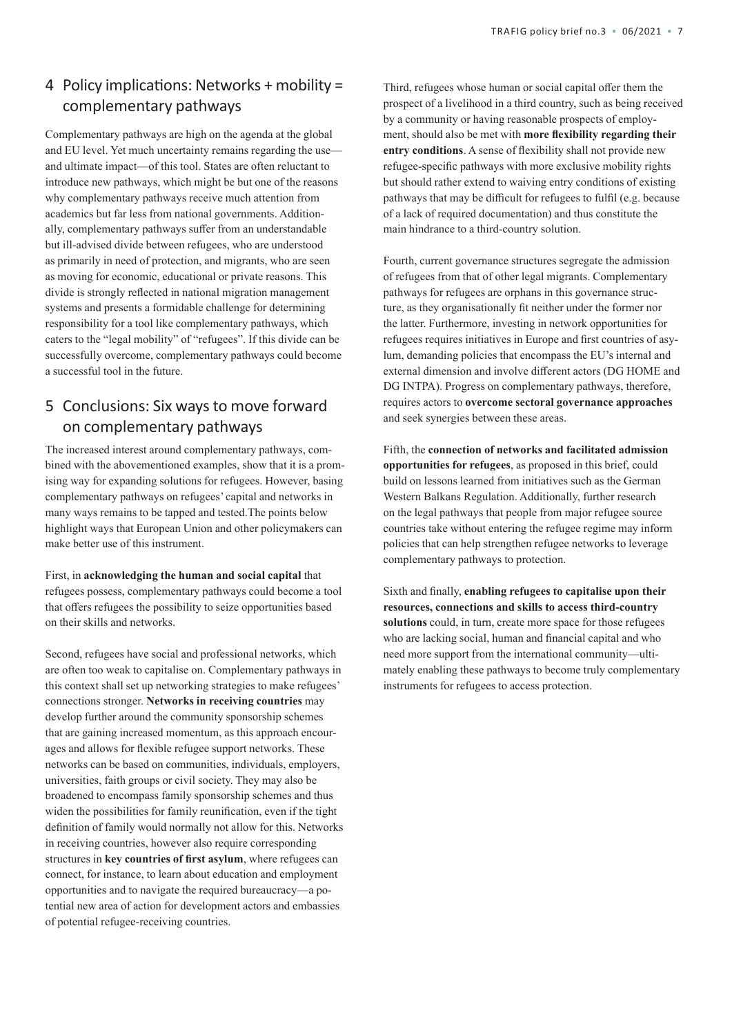# 4 Policy implications: Networks + mobility = complementary pathways

Complementary pathways are high on the agenda at the global and EU level. Yet much uncertainty remains regarding the use and ultimate impact—of this tool. States are often reluctant to introduce new pathways, which might be but one of the reasons why complementary pathways receive much attention from academics but far less from national governments. Additionally, complementary pathways suffer from an understandable but ill-advised divide between refugees, who are understood as primarily in need of protection, and migrants, who are seen as moving for economic, educational or private reasons. This divide is strongly reflected in national migration management systems and presents a formidable challenge for determining responsibility for a tool like complementary pathways, which caters to the "legal mobility" of "refugees". If this divide can be successfully overcome, complementary pathways could become a successful tool in the future.

# 5 Conclusions: Six waysto move forward on complementary pathways

The increased interest around complementary pathways, combined with the abovementioned examples, show that it is a promising way for expanding solutions for refugees. However, basing complementary pathways on refugees' capital and networks in many ways remains to be tapped and tested.The points below highlight ways that European Union and other policymakers can make better use of this instrument.

First, in **acknowledging the human and social capital** that refugees possess, complementary pathways could become a tool that offers refugees the possibility to seize opportunities based on their skills and networks.

Second, refugees have social and professional networks, which are often too weak to capitalise on. Complementary pathways in this context shall set up networking strategies to make refugees' connections stronger. **Networks in receiving countries** may develop further around the community sponsorship schemes that are gaining increased momentum, as this approach encourages and allows for flexible refugee support networks. These networks can be based on communities, individuals, employers, universities, faith groups or civil society. They may also be broadened to encompass family sponsorship schemes and thus widen the possibilities for family reunification, even if the tight definition of family would normally not allow for this. Networks in receiving countries, however also require corresponding structures in **key countries of first asylum**, where refugees can connect, for instance, to learn about education and employment opportunities and to navigate the required bureaucracy—a potential new area of action for development actors and embassies of potential refugee-receiving countries.

Third, refugees whose human or social capital offer them the prospect of a livelihood in a third country, such as being received by a community or having reasonable prospects of employment, should also be met with **more flexibility regarding their entry conditions**. A sense of flexibility shall not provide new refugee-specific pathways with more exclusive mobility rights but should rather extend to waiving entry conditions of existing pathways that may be difficult for refugees to fulfil (e.g. because of a lack of required documentation) and thus constitute the main hindrance to a third-country solution.

Fourth, current governance structures segregate the admission of refugees from that of other legal migrants. Complementary pathways for refugees are orphans in this governance structure, as they organisationally fit neither under the former nor the latter. Furthermore, investing in network opportunities for refugees requires initiatives in Europe and first countries of asylum, demanding policies that encompass the EU's internal and external dimension and involve different actors (DG HOME and DG INTPA). Progress on complementary pathways, therefore, requires actors to **overcome sectoral governance approaches** and seek synergies between these areas.

Fifth, the **connection of networks and facilitated admission opportunities for refugees**, as proposed in this brief, could build on lessons learned from initiatives such as the German Western Balkans Regulation. Additionally, further research on the legal pathways that people from major refugee source countries take without entering the refugee regime may inform policies that can help strengthen refugee networks to leverage complementary pathways to protection.

Sixth and finally, **enabling refugees to capitalise upon their resources, connections and skills to access third-country solutions** could, in turn, create more space for those refugees who are lacking social, human and financial capital and who need more support from the international community—ultimately enabling these pathways to become truly complementary instruments for refugees to access protection.